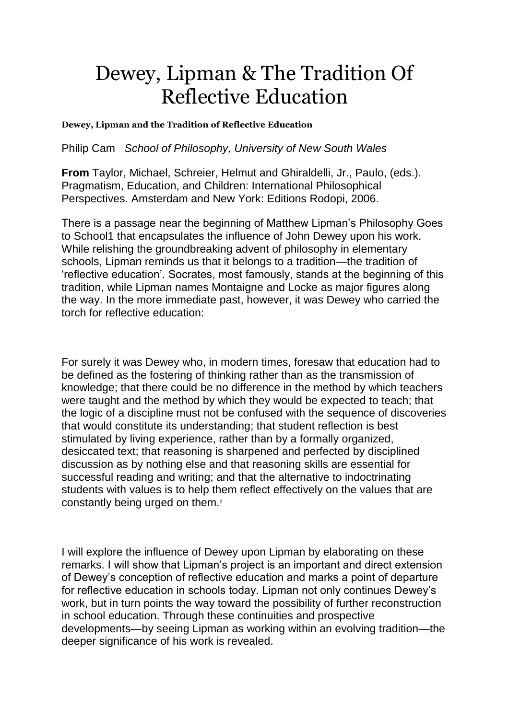# Dewey, Lipman & The Tradition Of Reflective Education

#### **Dewey, Lipman and the Tradition of Reflective Education**

### Philip Cam *School of Philosophy, University of New South Wales*

**From** Taylor, Michael, Schreier, Helmut and Ghiraldelli, Jr., Paulo, (eds.). Pragmatism, Education, and Children: International Philosophical Perspectives. Amsterdam and New York: Editions Rodopi, 2006.

There is a passage near the beginning of Matthew Lipman's Philosophy Goes to School1 that encapsulates the influence of John Dewey upon his work. While relishing the groundbreaking advent of philosophy in elementary schools, Lipman reminds us that it belongs to a tradition—the tradition of 'reflective education'. Socrates, most famously, stands at the beginning of this tradition, while Lipman names Montaigne and Locke as major figures along the way. In the more immediate past, however, it was Dewey who carried the torch for reflective education:

For surely it was Dewey who, in modern times, foresaw that education had to be defined as the fostering of thinking rather than as the transmission of knowledge; that there could be no difference in the method by which teachers were taught and the method by which they would be expected to teach; that the logic of a discipline must not be confused with the sequence of discoveries that would constitute its understanding; that student reflection is best stimulated by living experience, rather than by a formally organized, desiccated text; that reasoning is sharpened and perfected by disciplined discussion as by nothing else and that reasoning skills are essential for successful reading and writing; and that the alternative to indoctrinating students with values is to help them reflect effectively on the values that are constantly being urged on them.<sup>2</sup>

I will explore the influence of Dewey upon Lipman by elaborating on these remarks. I will show that Lipman's project is an important and direct extension of Dewey's conception of reflective education and marks a point of departure for reflective education in schools today. Lipman not only continues Dewey's work, but in turn points the way toward the possibility of further reconstruction in school education. Through these continuities and prospective developments—by seeing Lipman as working within an evolving tradition—the deeper significance of his work is revealed.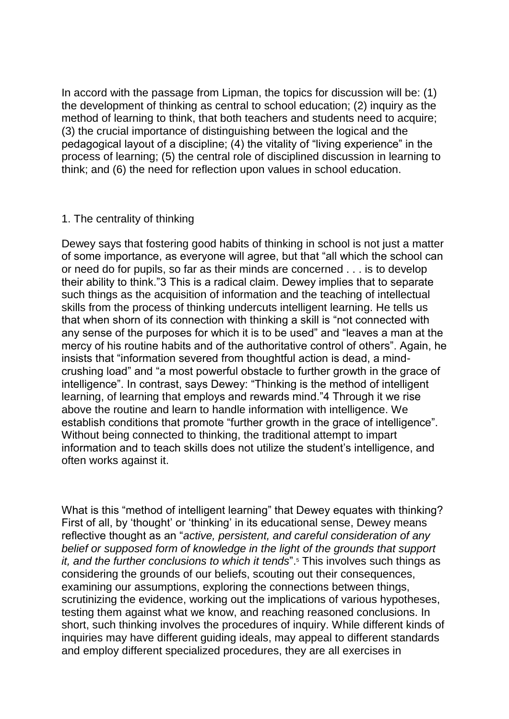In accord with the passage from Lipman, the topics for discussion will be: (1) the development of thinking as central to school education; (2) inquiry as the method of learning to think, that both teachers and students need to acquire; (3) the crucial importance of distinguishing between the logical and the pedagogical layout of a discipline; (4) the vitality of "living experience" in the process of learning; (5) the central role of disciplined discussion in learning to think; and (6) the need for reflection upon values in school education.

#### 1. The centrality of thinking

Dewey says that fostering good habits of thinking in school is not just a matter of some importance, as everyone will agree, but that "all which the school can or need do for pupils, so far as their minds are concerned . . . is to develop their ability to think."3 This is a radical claim. Dewey implies that to separate such things as the acquisition of information and the teaching of intellectual skills from the process of thinking undercuts intelligent learning. He tells us that when shorn of its connection with thinking a skill is "not connected with any sense of the purposes for which it is to be used" and "leaves a man at the mercy of his routine habits and of the authoritative control of others". Again, he insists that "information severed from thoughtful action is dead, a mindcrushing load" and "a most powerful obstacle to further growth in the grace of intelligence". In contrast, says Dewey: "Thinking is the method of intelligent learning, of learning that employs and rewards mind."4 Through it we rise above the routine and learn to handle information with intelligence. We establish conditions that promote "further growth in the grace of intelligence". Without being connected to thinking, the traditional attempt to impart information and to teach skills does not utilize the student's intelligence, and often works against it.

What is this "method of intelligent learning" that Dewey equates with thinking? First of all, by 'thought' or 'thinking' in its educational sense, Dewey means reflective thought as an "*active, persistent, and careful consideration of any belief or supposed form of knowledge in the light of the grounds that support it, and the further conclusions to which it tends*".<sup>5</sup> This involves such things as considering the grounds of our beliefs, scouting out their consequences, examining our assumptions, exploring the connections between things, scrutinizing the evidence, working out the implications of various hypotheses, testing them against what we know, and reaching reasoned conclusions. In short, such thinking involves the procedures of inquiry. While different kinds of inquiries may have different guiding ideals, may appeal to different standards and employ different specialized procedures, they are all exercises in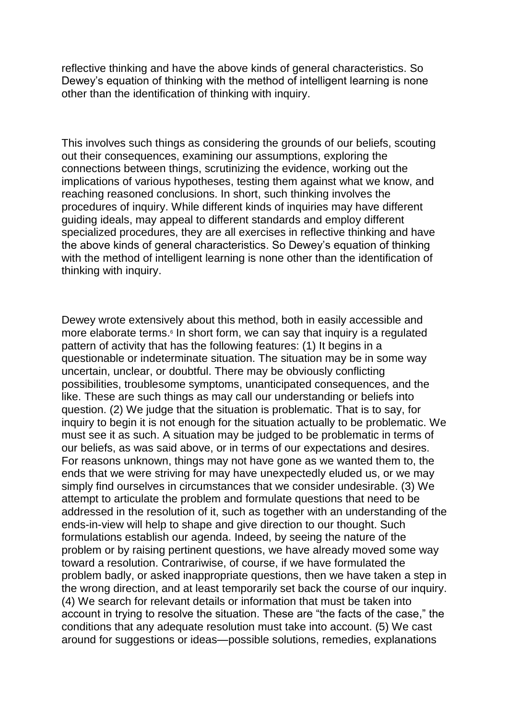reflective thinking and have the above kinds of general characteristics. So Dewey's equation of thinking with the method of intelligent learning is none other than the identification of thinking with inquiry.

This involves such things as considering the grounds of our beliefs, scouting out their consequences, examining our assumptions, exploring the connections between things, scrutinizing the evidence, working out the implications of various hypotheses, testing them against what we know, and reaching reasoned conclusions. In short, such thinking involves the procedures of inquiry. While different kinds of inquiries may have different guiding ideals, may appeal to different standards and employ different specialized procedures, they are all exercises in reflective thinking and have the above kinds of general characteristics. So Dewey's equation of thinking with the method of intelligent learning is none other than the identification of thinking with inquiry.

Dewey wrote extensively about this method, both in easily accessible and more elaborate terms.<sup>6</sup> In short form, we can say that inquiry is a regulated pattern of activity that has the following features: (1) It begins in a questionable or indeterminate situation. The situation may be in some way uncertain, unclear, or doubtful. There may be obviously conflicting possibilities, troublesome symptoms, unanticipated consequences, and the like. These are such things as may call our understanding or beliefs into question. (2) We judge that the situation is problematic. That is to say, for inquiry to begin it is not enough for the situation actually to be problematic. We must see it as such. A situation may be judged to be problematic in terms of our beliefs, as was said above, or in terms of our expectations and desires. For reasons unknown, things may not have gone as we wanted them to, the ends that we were striving for may have unexpectedly eluded us, or we may simply find ourselves in circumstances that we consider undesirable. (3) We attempt to articulate the problem and formulate questions that need to be addressed in the resolution of it, such as together with an understanding of the ends-in-view will help to shape and give direction to our thought. Such formulations establish our agenda. Indeed, by seeing the nature of the problem or by raising pertinent questions, we have already moved some way toward a resolution. Contrariwise, of course, if we have formulated the problem badly, or asked inappropriate questions, then we have taken a step in the wrong direction, and at least temporarily set back the course of our inquiry. (4) We search for relevant details or information that must be taken into account in trying to resolve the situation. These are "the facts of the case," the conditions that any adequate resolution must take into account. (5) We cast around for suggestions or ideas—possible solutions, remedies, explanations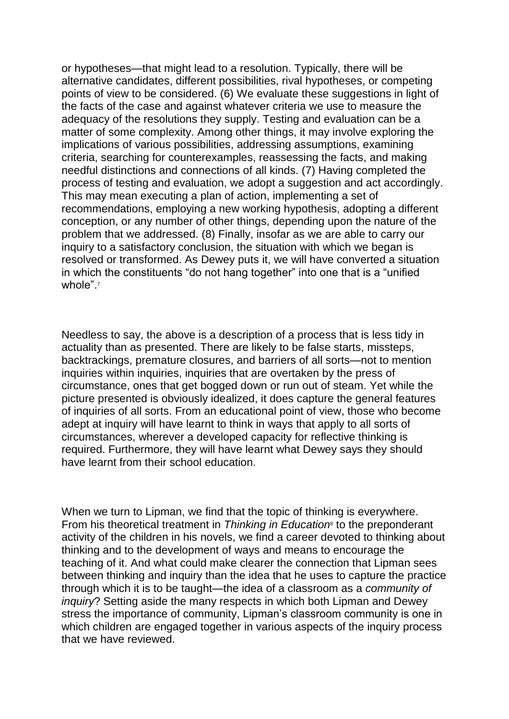or hypotheses—that might lead to a resolution. Typically, there will be alternative candidates, different possibilities, rival hypotheses, or competing points of view to be considered. (6) We evaluate these suggestions in light of the facts of the case and against whatever criteria we use to measure the adequacy of the resolutions they supply. Testing and evaluation can be a matter of some complexity. Among other things, it may involve exploring the implications of various possibilities, addressing assumptions, examining criteria, searching for counterexamples, reassessing the facts, and making needful distinctions and connections of all kinds. (7) Having completed the process of testing and evaluation, we adopt a suggestion and act accordingly. This may mean executing a plan of action, implementing a set of recommendations, employing a new working hypothesis, adopting a different conception, or any number of other things, depending upon the nature of the problem that we addressed. (8) Finally, insofar as we are able to carry our inquiry to a satisfactory conclusion, the situation with which we began is resolved or transformed. As Dewey puts it, we will have converted a situation in which the constituents "do not hang together" into one that is a "unified whole"?

Needless to say, the above is a description of a process that is less tidy in actuality than as presented. There are likely to be false starts, missteps, backtrackings, premature closures, and barriers of all sorts—not to mention inquiries within inquiries, inquiries that are overtaken by the press of circumstance, ones that get bogged down or run out of steam. Yet while the picture presented is obviously idealized, it does capture the general features of inquiries of all sorts. From an educational point of view, those who become adept at inquiry will have learnt to think in ways that apply to all sorts of circumstances, wherever a developed capacity for reflective thinking is required. Furthermore, they will have learnt what Dewey says they should have learnt from their school education.

When we turn to Lipman, we find that the topic of thinking is everywhere. From his theoretical treatment in Thinking in Education<sup>®</sup> to the preponderant activity of the children in his novels, we find a career devoted to thinking about thinking and to the development of ways and means to encourage the teaching of it. And what could make clearer the connection that Lipman sees between thinking and inquiry than the idea that he uses to capture the practice through which it is to be taught—the idea of a classroom as a *community of inquiry*? Setting aside the many respects in which both Lipman and Dewey stress the importance of community, Lipman's classroom community is one in which children are engaged together in various aspects of the inquiry process that we have reviewed.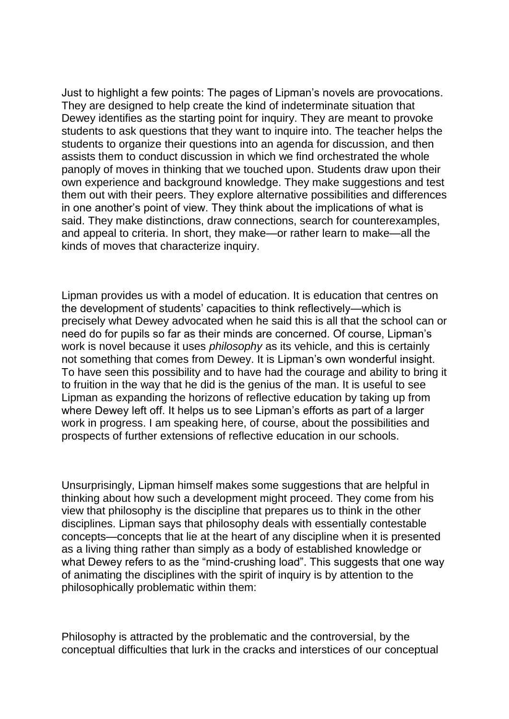Just to highlight a few points: The pages of Lipman's novels are provocations. They are designed to help create the kind of indeterminate situation that Dewey identifies as the starting point for inquiry. They are meant to provoke students to ask questions that they want to inquire into. The teacher helps the students to organize their questions into an agenda for discussion, and then assists them to conduct discussion in which we find orchestrated the whole panoply of moves in thinking that we touched upon. Students draw upon their own experience and background knowledge. They make suggestions and test them out with their peers. They explore alternative possibilities and differences in one another's point of view. They think about the implications of what is said. They make distinctions, draw connections, search for counterexamples, and appeal to criteria. In short, they make—or rather learn to make—all the kinds of moves that characterize inquiry.

Lipman provides us with a model of education. It is education that centres on the development of students' capacities to think reflectively—which is precisely what Dewey advocated when he said this is all that the school can or need do for pupils so far as their minds are concerned. Of course, Lipman's work is novel because it uses *philosophy* as its vehicle, and this is certainly not something that comes from Dewey. It is Lipman's own wonderful insight. To have seen this possibility and to have had the courage and ability to bring it to fruition in the way that he did is the genius of the man. It is useful to see Lipman as expanding the horizons of reflective education by taking up from where Dewey left off. It helps us to see Lipman's efforts as part of a larger work in progress. I am speaking here, of course, about the possibilities and prospects of further extensions of reflective education in our schools.

Unsurprisingly, Lipman himself makes some suggestions that are helpful in thinking about how such a development might proceed. They come from his view that philosophy is the discipline that prepares us to think in the other disciplines. Lipman says that philosophy deals with essentially contestable concepts—concepts that lie at the heart of any discipline when it is presented as a living thing rather than simply as a body of established knowledge or what Dewey refers to as the "mind-crushing load". This suggests that one way of animating the disciplines with the spirit of inquiry is by attention to the philosophically problematic within them:

Philosophy is attracted by the problematic and the controversial, by the conceptual difficulties that lurk in the cracks and interstices of our conceptual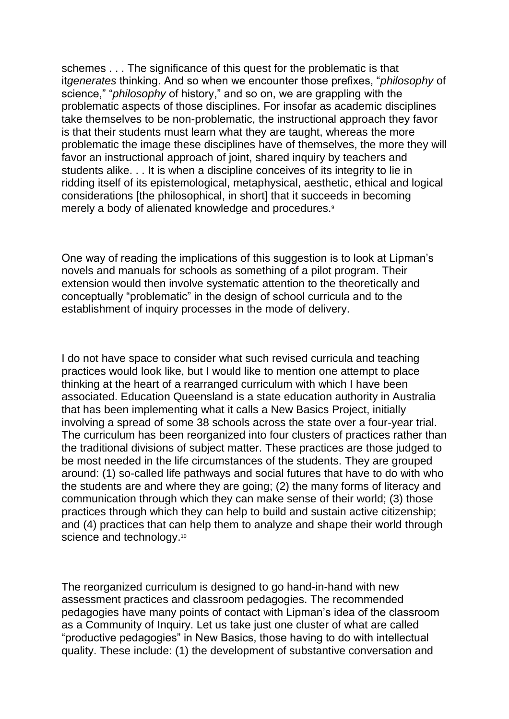schemes . . . The significance of this quest for the problematic is that it*generates* thinking. And so when we encounter those prefixes, "*philosophy* of science," "*philosophy* of history," and so on, we are grappling with the problematic aspects of those disciplines. For insofar as academic disciplines take themselves to be non-problematic, the instructional approach they favor is that their students must learn what they are taught, whereas the more problematic the image these disciplines have of themselves, the more they will favor an instructional approach of joint, shared inquiry by teachers and students alike. . . It is when a discipline conceives of its integrity to lie in ridding itself of its epistemological, metaphysical, aesthetic, ethical and logical considerations [the philosophical, in short] that it succeeds in becoming merely a body of alienated knowledge and procedures.<sup>9</sup>

One way of reading the implications of this suggestion is to look at Lipman's novels and manuals for schools as something of a pilot program. Their extension would then involve systematic attention to the theoretically and conceptually "problematic" in the design of school curricula and to the establishment of inquiry processes in the mode of delivery.

I do not have space to consider what such revised curricula and teaching practices would look like, but I would like to mention one attempt to place thinking at the heart of a rearranged curriculum with which I have been associated. Education Queensland is a state education authority in Australia that has been implementing what it calls a New Basics Project, initially involving a spread of some 38 schools across the state over a four-year trial. The curriculum has been reorganized into four clusters of practices rather than the traditional divisions of subject matter. These practices are those judged to be most needed in the life circumstances of the students. They are grouped around: (1) so-called life pathways and social futures that have to do with who the students are and where they are going; (2) the many forms of literacy and communication through which they can make sense of their world; (3) those practices through which they can help to build and sustain active citizenship; and (4) practices that can help them to analyze and shape their world through science and technology.<sup>10</sup>

The reorganized curriculum is designed to go hand-in-hand with new assessment practices and classroom pedagogies. The recommended pedagogies have many points of contact with Lipman's idea of the classroom as a Community of Inquiry. Let us take just one cluster of what are called "productive pedagogies" in New Basics, those having to do with intellectual quality. These include: (1) the development of substantive conversation and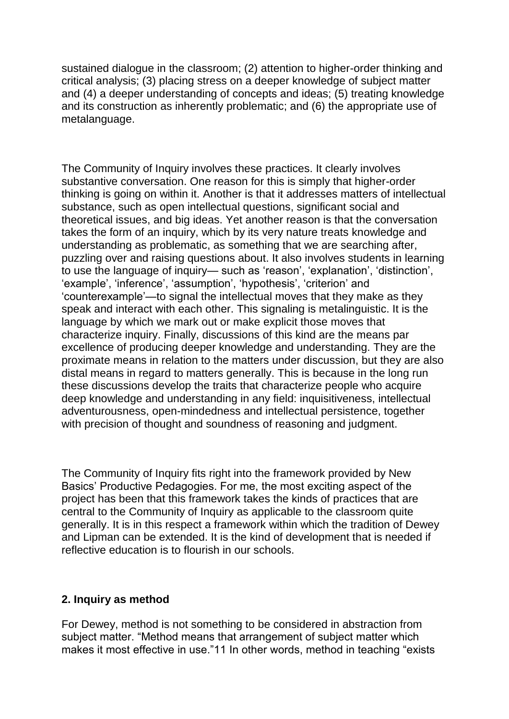sustained dialogue in the classroom; (2) attention to higher-order thinking and critical analysis; (3) placing stress on a deeper knowledge of subject matter and (4) a deeper understanding of concepts and ideas; (5) treating knowledge and its construction as inherently problematic; and (6) the appropriate use of metalanguage.

The Community of Inquiry involves these practices. It clearly involves substantive conversation. One reason for this is simply that higher-order thinking is going on within it. Another is that it addresses matters of intellectual substance, such as open intellectual questions, significant social and theoretical issues, and big ideas. Yet another reason is that the conversation takes the form of an inquiry, which by its very nature treats knowledge and understanding as problematic, as something that we are searching after, puzzling over and raising questions about. It also involves students in learning to use the language of inquiry— such as 'reason', 'explanation', 'distinction', 'example', 'inference', 'assumption', 'hypothesis', 'criterion' and 'counterexample'—to signal the intellectual moves that they make as they speak and interact with each other. This signaling is metalinguistic. It is the language by which we mark out or make explicit those moves that characterize inquiry. Finally, discussions of this kind are the means par excellence of producing deeper knowledge and understanding. They are the proximate means in relation to the matters under discussion, but they are also distal means in regard to matters generally. This is because in the long run these discussions develop the traits that characterize people who acquire deep knowledge and understanding in any field: inquisitiveness, intellectual adventurousness, open-mindedness and intellectual persistence, together with precision of thought and soundness of reasoning and judgment.

The Community of Inquiry fits right into the framework provided by New Basics' Productive Pedagogies. For me, the most exciting aspect of the project has been that this framework takes the kinds of practices that are central to the Community of Inquiry as applicable to the classroom quite generally. It is in this respect a framework within which the tradition of Dewey and Lipman can be extended. It is the kind of development that is needed if reflective education is to flourish in our schools.

#### **2. Inquiry as method**

For Dewey, method is not something to be considered in abstraction from subject matter. "Method means that arrangement of subject matter which makes it most effective in use."11 In other words, method in teaching "exists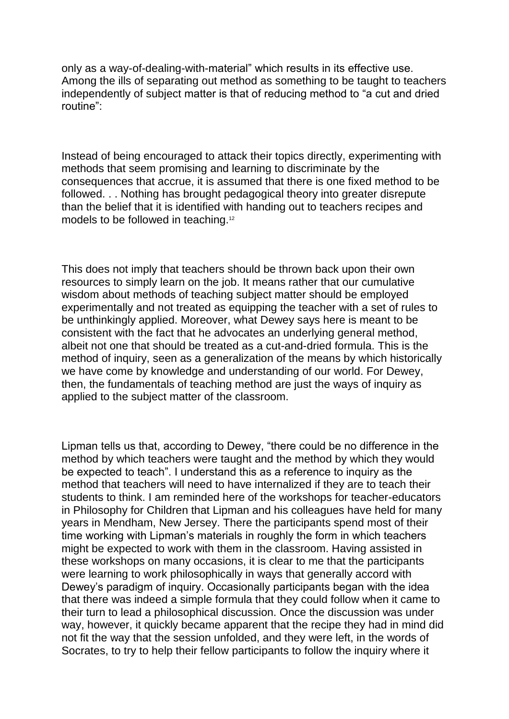only as a way-of-dealing-with-material" which results in its effective use. Among the ills of separating out method as something to be taught to teachers independently of subject matter is that of reducing method to "a cut and dried routine":

Instead of being encouraged to attack their topics directly, experimenting with methods that seem promising and learning to discriminate by the consequences that accrue, it is assumed that there is one fixed method to be followed. . . Nothing has brought pedagogical theory into greater disrepute than the belief that it is identified with handing out to teachers recipes and models to be followed in teaching.<sup>12</sup>

This does not imply that teachers should be thrown back upon their own resources to simply learn on the job. It means rather that our cumulative wisdom about methods of teaching subject matter should be employed experimentally and not treated as equipping the teacher with a set of rules to be unthinkingly applied. Moreover, what Dewey says here is meant to be consistent with the fact that he advocates an underlying general method, albeit not one that should be treated as a cut-and-dried formula. This is the method of inquiry, seen as a generalization of the means by which historically we have come by knowledge and understanding of our world. For Dewey, then, the fundamentals of teaching method are just the ways of inquiry as applied to the subject matter of the classroom.

Lipman tells us that, according to Dewey, "there could be no difference in the method by which teachers were taught and the method by which they would be expected to teach". I understand this as a reference to inquiry as the method that teachers will need to have internalized if they are to teach their students to think. I am reminded here of the workshops for teacher-educators in Philosophy for Children that Lipman and his colleagues have held for many years in Mendham, New Jersey. There the participants spend most of their time working with Lipman's materials in roughly the form in which teachers might be expected to work with them in the classroom. Having assisted in these workshops on many occasions, it is clear to me that the participants were learning to work philosophically in ways that generally accord with Dewey's paradigm of inquiry. Occasionally participants began with the idea that there was indeed a simple formula that they could follow when it came to their turn to lead a philosophical discussion. Once the discussion was under way, however, it quickly became apparent that the recipe they had in mind did not fit the way that the session unfolded, and they were left, in the words of Socrates, to try to help their fellow participants to follow the inquiry where it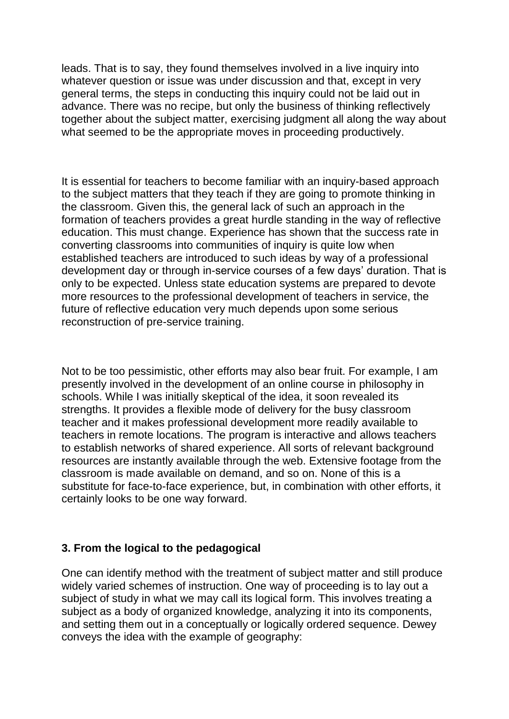leads. That is to say, they found themselves involved in a live inquiry into whatever question or issue was under discussion and that, except in very general terms, the steps in conducting this inquiry could not be laid out in advance. There was no recipe, but only the business of thinking reflectively together about the subject matter, exercising judgment all along the way about what seemed to be the appropriate moves in proceeding productively.

It is essential for teachers to become familiar with an inquiry-based approach to the subject matters that they teach if they are going to promote thinking in the classroom. Given this, the general lack of such an approach in the formation of teachers provides a great hurdle standing in the way of reflective education. This must change. Experience has shown that the success rate in converting classrooms into communities of inquiry is quite low when established teachers are introduced to such ideas by way of a professional development day or through in-service courses of a few days' duration. That is only to be expected. Unless state education systems are prepared to devote more resources to the professional development of teachers in service, the future of reflective education very much depends upon some serious reconstruction of pre-service training.

Not to be too pessimistic, other efforts may also bear fruit. For example, I am presently involved in the development of an online course in philosophy in schools. While I was initially skeptical of the idea, it soon revealed its strengths. It provides a flexible mode of delivery for the busy classroom teacher and it makes professional development more readily available to teachers in remote locations. The program is interactive and allows teachers to establish networks of shared experience. All sorts of relevant background resources are instantly available through the web. Extensive footage from the classroom is made available on demand, and so on. None of this is a substitute for face-to-face experience, but, in combination with other efforts, it certainly looks to be one way forward.

## **3. From the logical to the pedagogical**

One can identify method with the treatment of subject matter and still produce widely varied schemes of instruction. One way of proceeding is to lay out a subject of study in what we may call its logical form. This involves treating a subject as a body of organized knowledge, analyzing it into its components, and setting them out in a conceptually or logically ordered sequence. Dewey conveys the idea with the example of geography: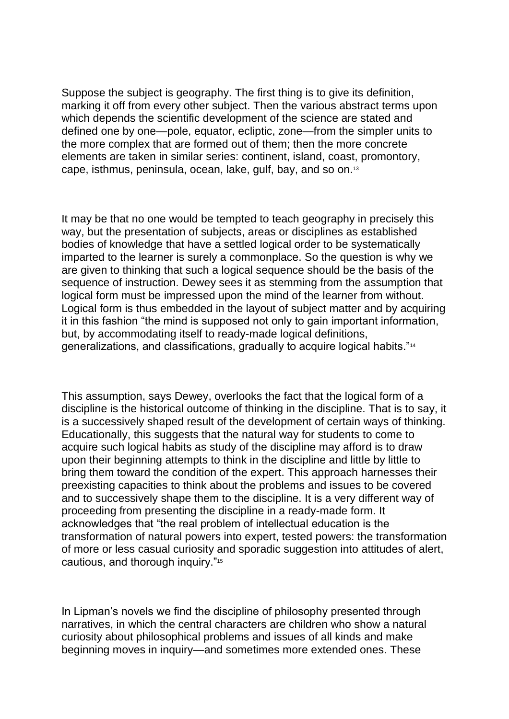Suppose the subject is geography. The first thing is to give its definition, marking it off from every other subject. Then the various abstract terms upon which depends the scientific development of the science are stated and defined one by one—pole, equator, ecliptic, zone—from the simpler units to the more complex that are formed out of them; then the more concrete elements are taken in similar series: continent, island, coast, promontory, cape, isthmus, peninsula, ocean, lake, gulf, bay, and so on.<sup>13</sup>

It may be that no one would be tempted to teach geography in precisely this way, but the presentation of subjects, areas or disciplines as established bodies of knowledge that have a settled logical order to be systematically imparted to the learner is surely a commonplace. So the question is why we are given to thinking that such a logical sequence should be the basis of the sequence of instruction. Dewey sees it as stemming from the assumption that logical form must be impressed upon the mind of the learner from without. Logical form is thus embedded in the layout of subject matter and by acquiring it in this fashion "the mind is supposed not only to gain important information, but, by accommodating itself to ready-made logical definitions, generalizations, and classifications, gradually to acquire logical habits."<sup>14</sup>

This assumption, says Dewey, overlooks the fact that the logical form of a discipline is the historical outcome of thinking in the discipline. That is to say, it is a successively shaped result of the development of certain ways of thinking. Educationally, this suggests that the natural way for students to come to acquire such logical habits as study of the discipline may afford is to draw upon their beginning attempts to think in the discipline and little by little to bring them toward the condition of the expert. This approach harnesses their preexisting capacities to think about the problems and issues to be covered and to successively shape them to the discipline. It is a very different way of proceeding from presenting the discipline in a ready-made form. It acknowledges that "the real problem of intellectual education is the transformation of natural powers into expert, tested powers: the transformation of more or less casual curiosity and sporadic suggestion into attitudes of alert, cautious, and thorough inquiry."<sup>15</sup>

In Lipman's novels we find the discipline of philosophy presented through narratives, in which the central characters are children who show a natural curiosity about philosophical problems and issues of all kinds and make beginning moves in inquiry—and sometimes more extended ones. These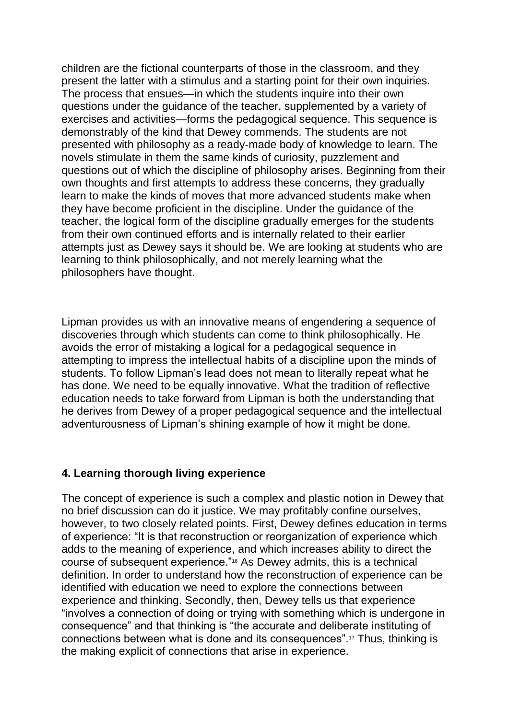children are the fictional counterparts of those in the classroom, and they present the latter with a stimulus and a starting point for their own inquiries. The process that ensues—in which the students inquire into their own questions under the guidance of the teacher, supplemented by a variety of exercises and activities—forms the pedagogical sequence. This sequence is demonstrably of the kind that Dewey commends. The students are not presented with philosophy as a ready-made body of knowledge to learn. The novels stimulate in them the same kinds of curiosity, puzzlement and questions out of which the discipline of philosophy arises. Beginning from their own thoughts and first attempts to address these concerns, they gradually learn to make the kinds of moves that more advanced students make when they have become proficient in the discipline. Under the guidance of the teacher, the logical form of the discipline gradually emerges for the students from their own continued efforts and is internally related to their earlier attempts just as Dewey says it should be. We are looking at students who are learning to think philosophically, and not merely learning what the philosophers have thought.

Lipman provides us with an innovative means of engendering a sequence of discoveries through which students can come to think philosophically. He avoids the error of mistaking a logical for a pedagogical sequence in attempting to impress the intellectual habits of a discipline upon the minds of students. To follow Lipman's lead does not mean to literally repeat what he has done. We need to be equally innovative. What the tradition of reflective education needs to take forward from Lipman is both the understanding that he derives from Dewey of a proper pedagogical sequence and the intellectual adventurousness of Lipman's shining example of how it might be done.

#### **4. Learning thorough living experience**

The concept of experience is such a complex and plastic notion in Dewey that no brief discussion can do it justice. We may profitably confine ourselves, however, to two closely related points. First, Dewey defines education in terms of experience: "It is that reconstruction or reorganization of experience which adds to the meaning of experience, and which increases ability to direct the course of subsequent experience."<sup>16</sup> As Dewey admits, this is a technical definition. In order to understand how the reconstruction of experience can be identified with education we need to explore the connections between experience and thinking. Secondly, then, Dewey tells us that experience "involves a connection of doing or trying with something which is undergone in consequence" and that thinking is "the accurate and deliberate instituting of connections between what is done and its consequences".<sup>17</sup> Thus, thinking is the making explicit of connections that arise in experience.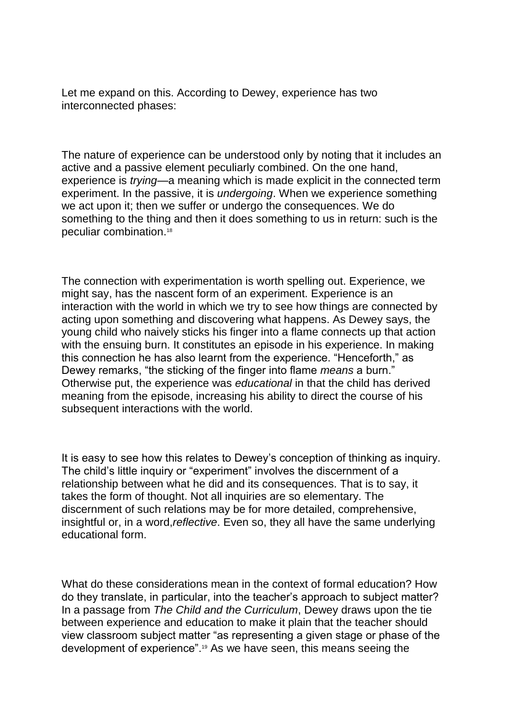Let me expand on this. According to Dewey, experience has two interconnected phases:

The nature of experience can be understood only by noting that it includes an active and a passive element peculiarly combined. On the one hand, experience is *trying*—a meaning which is made explicit in the connected term experiment. In the passive, it is *undergoing*. When we experience something we act upon it; then we suffer or undergo the consequences. We do something to the thing and then it does something to us in return: such is the peculiar combination.<sup>18</sup>

The connection with experimentation is worth spelling out. Experience, we might say, has the nascent form of an experiment. Experience is an interaction with the world in which we try to see how things are connected by acting upon something and discovering what happens. As Dewey says, the young child who naively sticks his finger into a flame connects up that action with the ensuing burn. It constitutes an episode in his experience. In making this connection he has also learnt from the experience. "Henceforth," as Dewey remarks, "the sticking of the finger into flame *means* a burn." Otherwise put, the experience was *educational* in that the child has derived meaning from the episode, increasing his ability to direct the course of his subsequent interactions with the world.

It is easy to see how this relates to Dewey's conception of thinking as inquiry. The child's little inquiry or "experiment" involves the discernment of a relationship between what he did and its consequences. That is to say, it takes the form of thought. Not all inquiries are so elementary. The discernment of such relations may be for more detailed, comprehensive, insightful or, in a word,*reflective*. Even so, they all have the same underlying educational form.

What do these considerations mean in the context of formal education? How do they translate, in particular, into the teacher's approach to subject matter? In a passage from *The Child and the Curriculum*, Dewey draws upon the tie between experience and education to make it plain that the teacher should view classroom subject matter "as representing a given stage or phase of the development of experience".<sup>19</sup> As we have seen, this means seeing the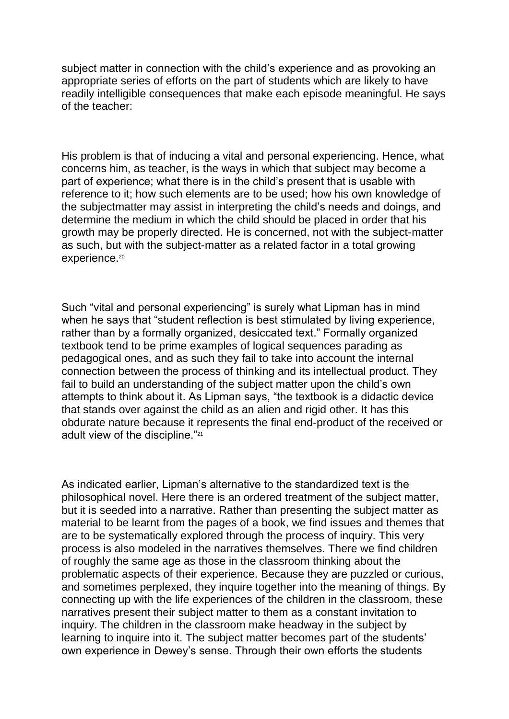subject matter in connection with the child's experience and as provoking an appropriate series of efforts on the part of students which are likely to have readily intelligible consequences that make each episode meaningful. He says of the teacher:

His problem is that of inducing a vital and personal experiencing. Hence, what concerns him, as teacher, is the ways in which that subject may become a part of experience; what there is in the child's present that is usable with reference to it; how such elements are to be used; how his own knowledge of the subjectmatter may assist in interpreting the child's needs and doings, and determine the medium in which the child should be placed in order that his growth may be properly directed. He is concerned, not with the subject-matter as such, but with the subject-matter as a related factor in a total growing experience.<sup>20</sup>

Such "vital and personal experiencing" is surely what Lipman has in mind when he says that "student reflection is best stimulated by living experience, rather than by a formally organized, desiccated text." Formally organized textbook tend to be prime examples of logical sequences parading as pedagogical ones, and as such they fail to take into account the internal connection between the process of thinking and its intellectual product. They fail to build an understanding of the subject matter upon the child's own attempts to think about it. As Lipman says, "the textbook is a didactic device that stands over against the child as an alien and rigid other. It has this obdurate nature because it represents the final end-product of the received or adult view of the discipline."<sup>21</sup>

As indicated earlier, Lipman's alternative to the standardized text is the philosophical novel. Here there is an ordered treatment of the subject matter, but it is seeded into a narrative. Rather than presenting the subject matter as material to be learnt from the pages of a book, we find issues and themes that are to be systematically explored through the process of inquiry. This very process is also modeled in the narratives themselves. There we find children of roughly the same age as those in the classroom thinking about the problematic aspects of their experience. Because they are puzzled or curious, and sometimes perplexed, they inquire together into the meaning of things. By connecting up with the life experiences of the children in the classroom, these narratives present their subject matter to them as a constant invitation to inquiry. The children in the classroom make headway in the subject by learning to inquire into it. The subject matter becomes part of the students' own experience in Dewey's sense. Through their own efforts the students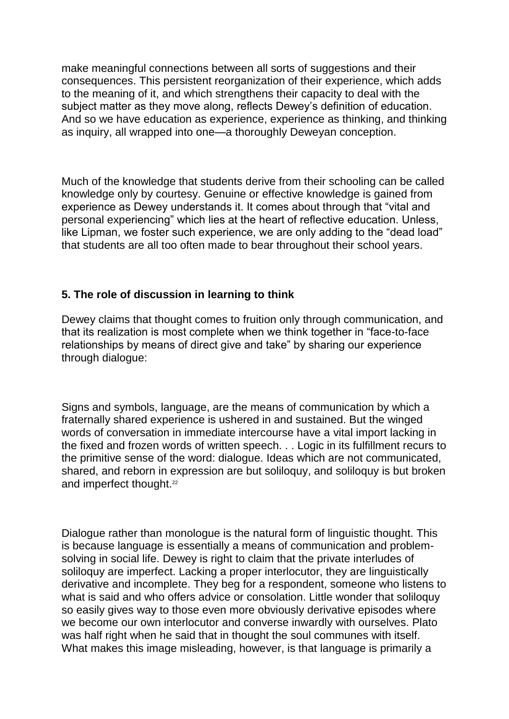make meaningful connections between all sorts of suggestions and their consequences. This persistent reorganization of their experience, which adds to the meaning of it, and which strengthens their capacity to deal with the subject matter as they move along, reflects Dewey's definition of education. And so we have education as experience, experience as thinking, and thinking as inquiry, all wrapped into one—a thoroughly Deweyan conception.

Much of the knowledge that students derive from their schooling can be called knowledge only by courtesy. Genuine or effective knowledge is gained from experience as Dewey understands it. It comes about through that "vital and personal experiencing" which lies at the heart of reflective education. Unless, like Lipman, we foster such experience, we are only adding to the "dead load" that students are all too often made to bear throughout their school years.

## **5. The role of discussion in learning to think**

Dewey claims that thought comes to fruition only through communication, and that its realization is most complete when we think together in "face-to-face relationships by means of direct give and take" by sharing our experience through dialogue:

Signs and symbols, language, are the means of communication by which a fraternally shared experience is ushered in and sustained. But the winged words of conversation in immediate intercourse have a vital import lacking in the fixed and frozen words of written speech. . . Logic in its fulfillment recurs to the primitive sense of the word: dialogue. Ideas which are not communicated, shared, and reborn in expression are but soliloquy, and soliloquy is but broken and imperfect thought.<sup>22</sup>

Dialogue rather than monologue is the natural form of linguistic thought. This is because language is essentially a means of communication and problemsolving in social life. Dewey is right to claim that the private interludes of soliloquy are imperfect. Lacking a proper interlocutor, they are linguistically derivative and incomplete. They beg for a respondent, someone who listens to what is said and who offers advice or consolation. Little wonder that soliloquy so easily gives way to those even more obviously derivative episodes where we become our own interlocutor and converse inwardly with ourselves. Plato was half right when he said that in thought the soul communes with itself. What makes this image misleading, however, is that language is primarily a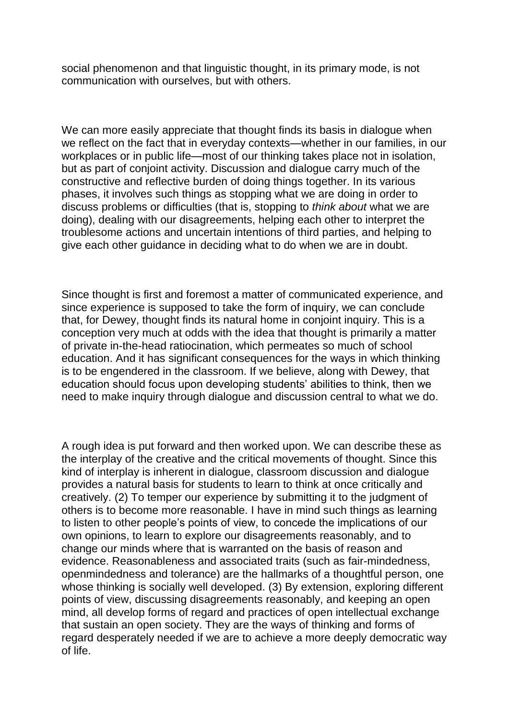social phenomenon and that linguistic thought, in its primary mode, is not communication with ourselves, but with others.

We can more easily appreciate that thought finds its basis in dialogue when we reflect on the fact that in everyday contexts—whether in our families, in our workplaces or in public life—most of our thinking takes place not in isolation, but as part of conjoint activity. Discussion and dialogue carry much of the constructive and reflective burden of doing things together. In its various phases, it involves such things as stopping what we are doing in order to discuss problems or difficulties (that is, stopping to *think about* what we are doing), dealing with our disagreements, helping each other to interpret the troublesome actions and uncertain intentions of third parties, and helping to give each other guidance in deciding what to do when we are in doubt.

Since thought is first and foremost a matter of communicated experience, and since experience is supposed to take the form of inquiry, we can conclude that, for Dewey, thought finds its natural home in conjoint inquiry. This is a conception very much at odds with the idea that thought is primarily a matter of private in-the-head ratiocination, which permeates so much of school education. And it has significant consequences for the ways in which thinking is to be engendered in the classroom. If we believe, along with Dewey, that education should focus upon developing students' abilities to think, then we need to make inquiry through dialogue and discussion central to what we do.

A rough idea is put forward and then worked upon. We can describe these as the interplay of the creative and the critical movements of thought. Since this kind of interplay is inherent in dialogue, classroom discussion and dialogue provides a natural basis for students to learn to think at once critically and creatively. (2) To temper our experience by submitting it to the judgment of others is to become more reasonable. I have in mind such things as learning to listen to other people's points of view, to concede the implications of our own opinions, to learn to explore our disagreements reasonably, and to change our minds where that is warranted on the basis of reason and evidence. Reasonableness and associated traits (such as fair-mindedness, openmindedness and tolerance) are the hallmarks of a thoughtful person, one whose thinking is socially well developed. (3) By extension, exploring different points of view, discussing disagreements reasonably, and keeping an open mind, all develop forms of regard and practices of open intellectual exchange that sustain an open society. They are the ways of thinking and forms of regard desperately needed if we are to achieve a more deeply democratic way of life.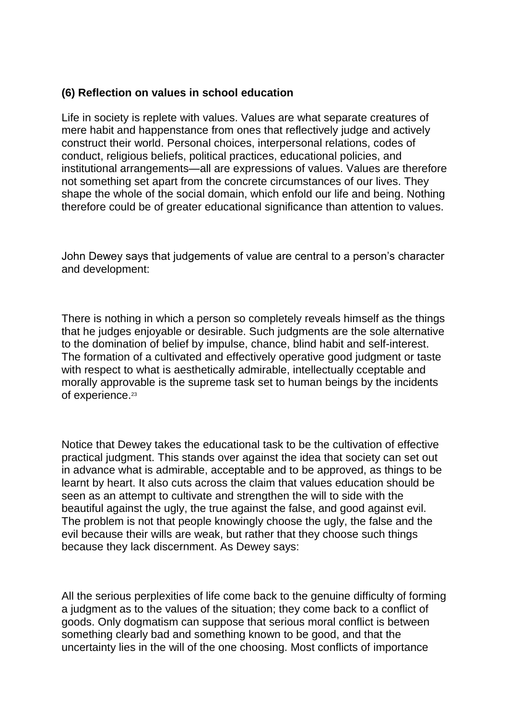### **(6) Reflection on values in school education**

Life in society is replete with values. Values are what separate creatures of mere habit and happenstance from ones that reflectively judge and actively construct their world. Personal choices, interpersonal relations, codes of conduct, religious beliefs, political practices, educational policies, and institutional arrangements—all are expressions of values. Values are therefore not something set apart from the concrete circumstances of our lives. They shape the whole of the social domain, which enfold our life and being. Nothing therefore could be of greater educational significance than attention to values.

John Dewey says that judgements of value are central to a person's character and development:

There is nothing in which a person so completely reveals himself as the things that he judges enjoyable or desirable. Such judgments are the sole alternative to the domination of belief by impulse, chance, blind habit and self-interest. The formation of a cultivated and effectively operative good judgment or taste with respect to what is aesthetically admirable, intellectually cceptable and morally approvable is the supreme task set to human beings by the incidents of experience.<sup>23</sup>

Notice that Dewey takes the educational task to be the cultivation of effective practical judgment. This stands over against the idea that society can set out in advance what is admirable, acceptable and to be approved, as things to be learnt by heart. It also cuts across the claim that values education should be seen as an attempt to cultivate and strengthen the will to side with the beautiful against the ugly, the true against the false, and good against evil. The problem is not that people knowingly choose the ugly, the false and the evil because their wills are weak, but rather that they choose such things because they lack discernment. As Dewey says:

All the serious perplexities of life come back to the genuine difficulty of forming a judgment as to the values of the situation; they come back to a conflict of goods. Only dogmatism can suppose that serious moral conflict is between something clearly bad and something known to be good, and that the uncertainty lies in the will of the one choosing. Most conflicts of importance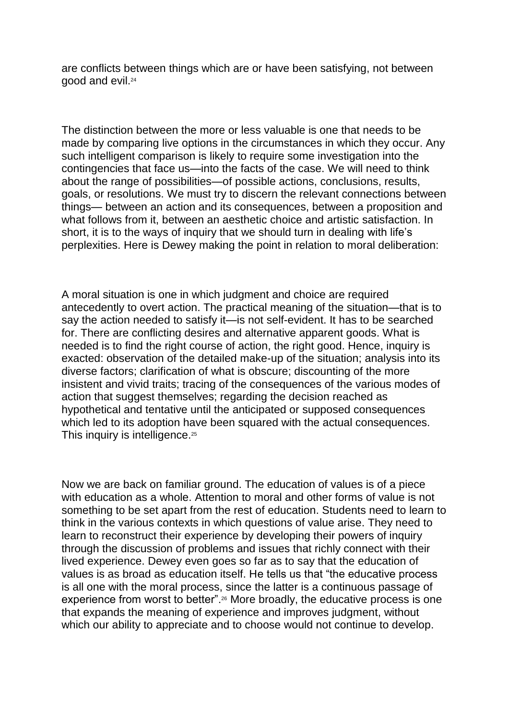are conflicts between things which are or have been satisfying, not between good and evil.<sup>24</sup>

The distinction between the more or less valuable is one that needs to be made by comparing live options in the circumstances in which they occur. Any such intelligent comparison is likely to require some investigation into the contingencies that face us—into the facts of the case. We will need to think about the range of possibilities—of possible actions, conclusions, results, goals, or resolutions. We must try to discern the relevant connections between things— between an action and its consequences, between a proposition and what follows from it, between an aesthetic choice and artistic satisfaction. In short, it is to the ways of inquiry that we should turn in dealing with life's perplexities. Here is Dewey making the point in relation to moral deliberation:

A moral situation is one in which judgment and choice are required antecedently to overt action. The practical meaning of the situation—that is to say the action needed to satisfy it—is not self-evident. It has to be searched for. There are conflicting desires and alternative apparent goods. What is needed is to find the right course of action, the right good. Hence, inquiry is exacted: observation of the detailed make-up of the situation; analysis into its diverse factors; clarification of what is obscure; discounting of the more insistent and vivid traits; tracing of the consequences of the various modes of action that suggest themselves; regarding the decision reached as hypothetical and tentative until the anticipated or supposed consequences which led to its adoption have been squared with the actual consequences. This inquiry is intelligence.<sup>25</sup>

Now we are back on familiar ground. The education of values is of a piece with education as a whole. Attention to moral and other forms of value is not something to be set apart from the rest of education. Students need to learn to think in the various contexts in which questions of value arise. They need to learn to reconstruct their experience by developing their powers of inquiry through the discussion of problems and issues that richly connect with their lived experience. Dewey even goes so far as to say that the education of values is as broad as education itself. He tells us that "the educative process is all one with the moral process, since the latter is a continuous passage of experience from worst to better".<sup>26</sup> More broadly, the educative process is one that expands the meaning of experience and improves judgment, without which our ability to appreciate and to choose would not continue to develop.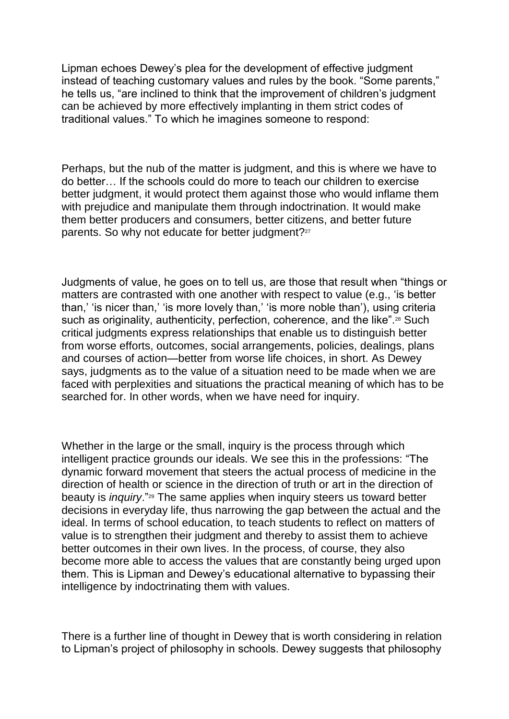Lipman echoes Dewey's plea for the development of effective judgment instead of teaching customary values and rules by the book. "Some parents," he tells us, "are inclined to think that the improvement of children's judgment can be achieved by more effectively implanting in them strict codes of traditional values." To which he imagines someone to respond:

Perhaps, but the nub of the matter is judgment, and this is where we have to do better… If the schools could do more to teach our children to exercise better judgment, it would protect them against those who would inflame them with prejudice and manipulate them through indoctrination. It would make them better producers and consumers, better citizens, and better future parents. So why not educate for better judgment?<sup>27</sup>

Judgments of value, he goes on to tell us, are those that result when "things or matters are contrasted with one another with respect to value (e.g., 'is better than,' 'is nicer than,' 'is more lovely than,' 'is more noble than'), using criteria such as originality, authenticity, perfection, coherence, and the like".<sup>28</sup> Such critical judgments express relationships that enable us to distinguish better from worse efforts, outcomes, social arrangements, policies, dealings, plans and courses of action—better from worse life choices, in short. As Dewey says, judgments as to the value of a situation need to be made when we are faced with perplexities and situations the practical meaning of which has to be searched for. In other words, when we have need for inquiry.

Whether in the large or the small, inquiry is the process through which intelligent practice grounds our ideals. We see this in the professions: "The dynamic forward movement that steers the actual process of medicine in the direction of health or science in the direction of truth or art in the direction of beauty is *inquiry*."<sup>29</sup> The same applies when inquiry steers us toward better decisions in everyday life, thus narrowing the gap between the actual and the ideal. In terms of school education, to teach students to reflect on matters of value is to strengthen their judgment and thereby to assist them to achieve better outcomes in their own lives. In the process, of course, they also become more able to access the values that are constantly being urged upon them. This is Lipman and Dewey's educational alternative to bypassing their intelligence by indoctrinating them with values.

There is a further line of thought in Dewey that is worth considering in relation to Lipman's project of philosophy in schools. Dewey suggests that philosophy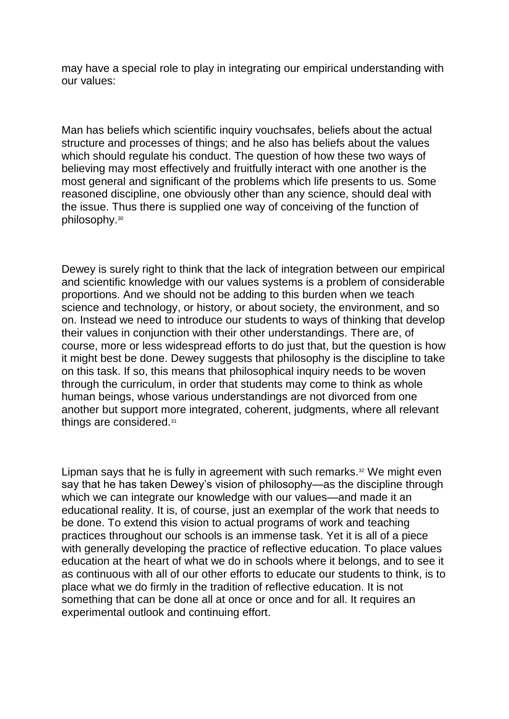may have a special role to play in integrating our empirical understanding with our values:

Man has beliefs which scientific inquiry vouchsafes, beliefs about the actual structure and processes of things; and he also has beliefs about the values which should regulate his conduct. The question of how these two ways of believing may most effectively and fruitfully interact with one another is the most general and significant of the problems which life presents to us. Some reasoned discipline, one obviously other than any science, should deal with the issue. Thus there is supplied one way of conceiving of the function of philosophy.<sup>30</sup>

Dewey is surely right to think that the lack of integration between our empirical and scientific knowledge with our values systems is a problem of considerable proportions. And we should not be adding to this burden when we teach science and technology, or history, or about society, the environment, and so on. Instead we need to introduce our students to ways of thinking that develop their values in conjunction with their other understandings. There are, of course, more or less widespread efforts to do just that, but the question is how it might best be done. Dewey suggests that philosophy is the discipline to take on this task. If so, this means that philosophical inquiry needs to be woven through the curriculum, in order that students may come to think as whole human beings, whose various understandings are not divorced from one another but support more integrated, coherent, judgments, where all relevant things are considered.<sup>31</sup>

Lipman says that he is fully in agreement with such remarks.<sup>32</sup> We might even say that he has taken Dewey's vision of philosophy—as the discipline through which we can integrate our knowledge with our values—and made it an educational reality. It is, of course, just an exemplar of the work that needs to be done. To extend this vision to actual programs of work and teaching practices throughout our schools is an immense task. Yet it is all of a piece with generally developing the practice of reflective education. To place values education at the heart of what we do in schools where it belongs, and to see it as continuous with all of our other efforts to educate our students to think, is to place what we do firmly in the tradition of reflective education. It is not something that can be done all at once or once and for all. It requires an experimental outlook and continuing effort.